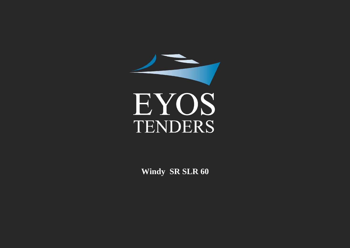

**Windy SR SLR 60**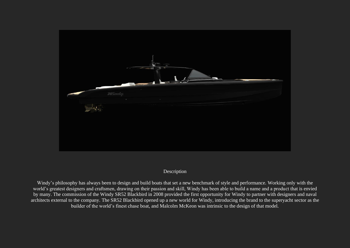

## Description

Windy's philosophy has always been to design and build boats that set a new benchmark of style and performance. Working only with the world's greatest designers and craftsmen, drawing on their passion and skill, Windy has been able to build a name and a product that is envied by many. The commission of the Windy SR52 Blackbird in 2008 provided the first opportunity for Windy to partner with designers and naval architects external to the company. The SR52 Blackbird opened up a new world for Windy, introducing the brand to the superyacht sector as the builder of the world's finest chase boat, and Malcolm McKeon was intrinsic to the design of that model.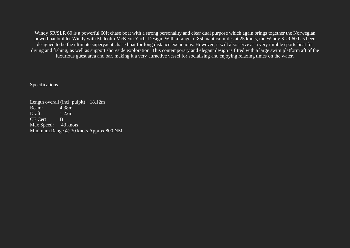Windy SR/SLR 60 is a powerful 60ft chase boat with a strong personality and clear dual purpose which again brings together the Norwegian powerboat builder Windy with Malcolm McKeon Yacht Design. With a range of 850 nautical miles at 25 knots, the Windy SLR 60 has been designed to be the ultimate superyacht chase boat for long distance excursions. However, it will also serve as a very nimble sports boat for diving and fishing, as well as support shoreside exploration. This contemporary and elegant design is fitted with a large swim platform aft of the luxurious guest area and bar, making it a very attractive vessel for socialising and enjoying relaxing times on the water.

Specifications

Length overall (incl. pulpit): 18.12m Beam: 4.38m Draft: 1.22m CE Cert B Max Speed: 43 knots Minimum Range @ 30 knots Approx 800 NM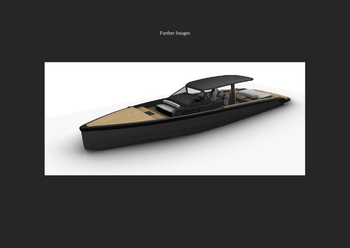## Further Images

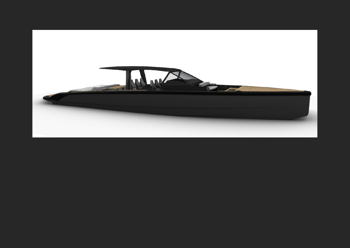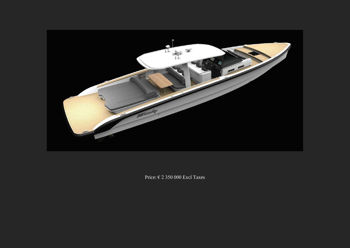

Price:  $\in$  2 350 000 Excl Taxes